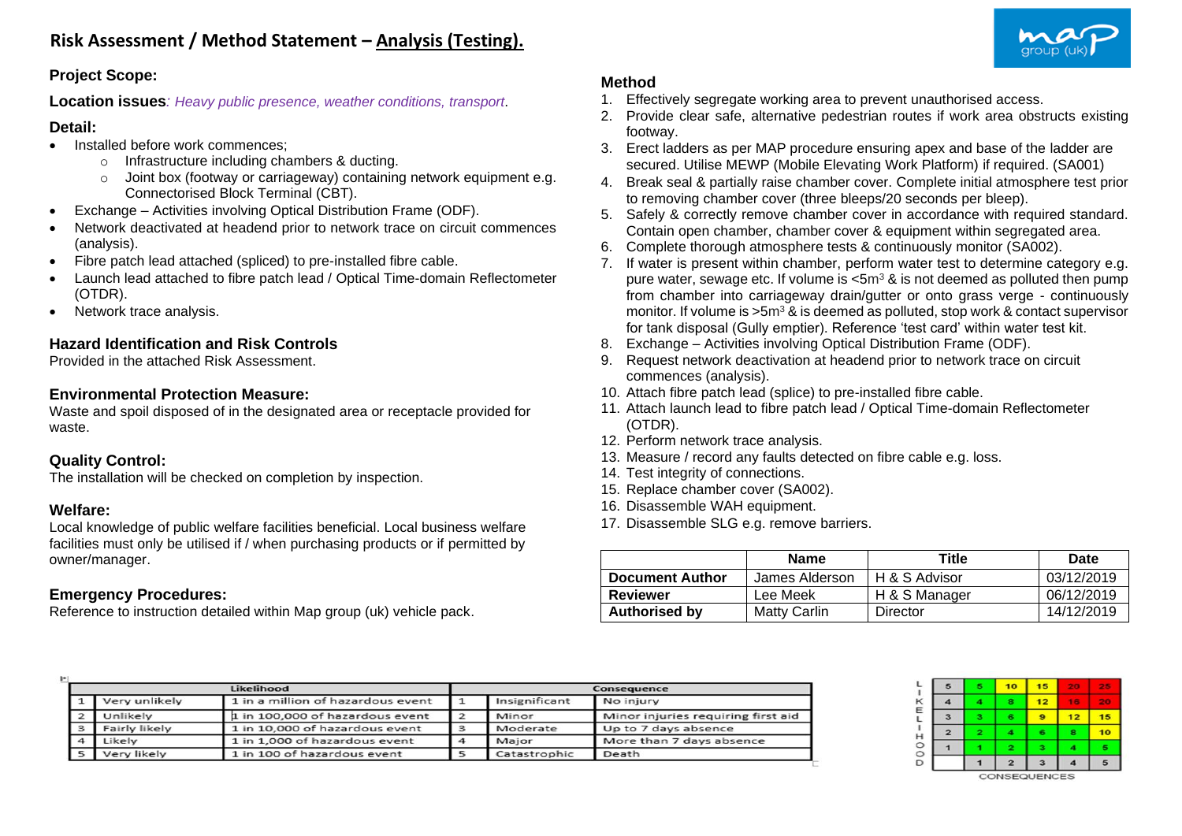

### **Project Scope:**

**Location issues***: Heavy public presence, weather conditions, transport*.

#### **Detail:**

- Installed before work commences;
	- o Infrastructure including chambers & ducting.
	- o Joint box (footway or carriageway) containing network equipment e.g. Connectorised Block Terminal (CBT).
- Exchange Activities involving Optical Distribution Frame (ODF).
- Network deactivated at headend prior to network trace on circuit commences (analysis).
- Fibre patch lead attached (spliced) to pre-installed fibre cable.
- Launch lead attached to fibre patch lead / Optical Time-domain Reflectometer (OTDR).
- Network trace analysis.

## **Hazard Identification and Risk Controls**

Provided in the attached Risk Assessment.

## **Environmental Protection Measure:**

Waste and spoil disposed of in the designated area or receptacle provided for waste.

### **Quality Control:**

The installation will be checked on completion by inspection.

#### **Welfare:**

Local knowledge of public welfare facilities beneficial. Local business welfare facilities must only be utilised if / when purchasing products or if permitted by owner/manager.

### **Emergency Procedures:**

Reference to instruction detailed within Map group (uk) vehicle pack.

# **Method**

- 1. Effectively segregate working area to prevent unauthorised access.
- 2. Provide clear safe, alternative pedestrian routes if work area obstructs existing footway.
- 3. Erect ladders as per MAP procedure ensuring apex and base of the ladder are secured. Utilise MEWP (Mobile Elevating Work Platform) if required. (SA001)
- 4. Break seal & partially raise chamber cover. Complete initial atmosphere test prior to removing chamber cover (three bleeps/20 seconds per bleep).
- 5. Safely & correctly remove chamber cover in accordance with required standard. Contain open chamber, chamber cover & equipment within segregated area.
- 6. Complete thorough atmosphere tests & continuously monitor (SA002).
- 7. If water is present within chamber, perform water test to determine category e.g. pure water, sewage etc. If volume is  $<$ 5m<sup>3</sup> & is not deemed as polluted then pump from chamber into carriageway drain/gutter or onto grass verge - continuously monitor. If volume is  $>5m^3$  & is deemed as polluted, stop work & contact supervisor for tank disposal (Gully emptier). Reference 'test card' within water test kit.
- 8. Exchange Activities involving Optical Distribution Frame (ODF).
- 9. Request network deactivation at headend prior to network trace on circuit commences (analysis).
- 10. Attach fibre patch lead (splice) to pre-installed fibre cable.
- 11. Attach launch lead to fibre patch lead / Optical Time-domain Reflectometer (OTDR).
- 12. Perform network trace analysis.
- 13. Measure / record any faults detected on fibre cable e.g. loss.
- 14. Test integrity of connections.
- 15. Replace chamber cover (SA002).
- 16. Disassemble WAH equipment.
- 17. Disassemble SLG e.g. remove barriers.

|                        | <b>Name</b>    | <b>Title</b>  | Date       |
|------------------------|----------------|---------------|------------|
| <b>Document Author</b> | James Alderson | H & S Advisor | 03/12/2019 |
| <b>Reviewer</b>        | Lee Meek       | H & S Manager | 06/12/2019 |
| <b>Authorised by</b>   | Matty Carlin   | Director      | 14/12/2019 |

| H        |               |                                   |          |                    |                                    |  |  |
|----------|---------------|-----------------------------------|----------|--------------------|------------------------------------|--|--|
|          |               | Likelihood                        |          | <b>Consequence</b> |                                    |  |  |
|          | Very unlikely | 1 in a million of hazardous event |          | Insignificant      | No injury                          |  |  |
|          | Unlikely      | 1 in 100,000 of hazardous event   |          | Minor              | Minor injuries requiring first aid |  |  |
| 3        | Fairly likely | 1 in 10,000 of hazardous event    | з        | Moderate           | Up to 7 days absence               |  |  |
| $\Delta$ | Likely        | 1 in 1,000 of hazardous event     | $\Delta$ | Major              | More than 7 days absence           |  |  |
|          | Very likely   | 1 in 100 of hazardous event       |          | Catastrophic       | Death                              |  |  |

| 5              | 5  | 10             | 15 | 2.2.0 | -- |
|----------------|----|----------------|----|-------|----|
|                | 4  | 8              | 12 | 18    |    |
| 3              | з  | 6              | 9  | 12    | 15 |
| $\overline{2}$ | 2. |                | 6  | 8     | 10 |
|                |    | 2              | з  |       |    |
|                |    | $\overline{2}$ | з  |       | 5  |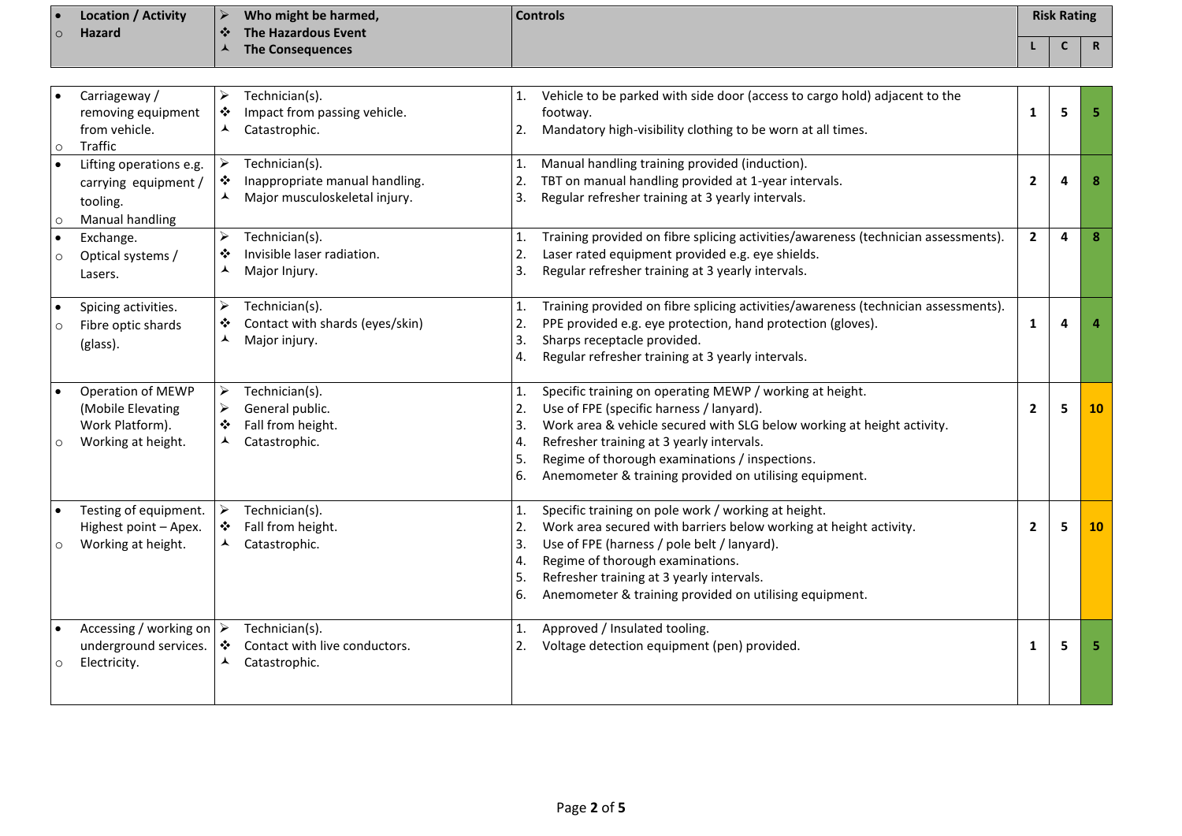| ю       | <b>Location / Activity</b> |            | Who might be harmed, | <b>Controls</b> | <b>Risk Rating</b> |   |
|---------|----------------------------|------------|----------------------|-----------------|--------------------|---|
| $\circ$ | <b>Hazard</b>              | $\sqrt{2}$ | The Hazardous Event  |                 |                    |   |
|         |                            |            | The Consequences     |                 |                    | R |

| $\bullet$<br>$\circ$ | Carriageway /<br>removing equipment<br>from vehicle.<br>Traffic                  | ➤<br>❖<br>▲                                    | Technician(s).<br>Impact from passing vehicle.<br>Catastrophic.                   | 1.<br>2.                         | Vehicle to be parked with side door (access to cargo hold) adjacent to the<br>footway.<br>Mandatory high-visibility clothing to be worn at all times.                                                                                                                                                                                   | 1              | 5 |    |
|----------------------|----------------------------------------------------------------------------------|------------------------------------------------|-----------------------------------------------------------------------------------|----------------------------------|-----------------------------------------------------------------------------------------------------------------------------------------------------------------------------------------------------------------------------------------------------------------------------------------------------------------------------------------|----------------|---|----|
| $\bullet$<br>$\circ$ | Lifting operations e.g.<br>carrying equipment /<br>tooling.<br>Manual handling   | $\blacktriangleright$<br>❖<br>⅄                | Technician(s).<br>Inappropriate manual handling.<br>Major musculoskeletal injury. | 1.<br>2.<br>3.                   | Manual handling training provided (induction).<br>TBT on manual handling provided at 1-year intervals.<br>Regular refresher training at 3 yearly intervals.                                                                                                                                                                             | $\mathbf{2}$   | 4 | 8  |
| $\bullet$<br>$\circ$ | Exchange.<br>Optical systems /<br>Lasers.                                        | ⋗<br>❖<br>▴                                    | Technician(s).<br>Invisible laser radiation.<br>Major Injury.                     | 1.<br>2.<br>3.                   | Training provided on fibre splicing activities/awareness (technician assessments).<br>Laser rated equipment provided e.g. eye shields.<br>Regular refresher training at 3 yearly intervals.                                                                                                                                             | $\overline{2}$ | 4 | 8  |
| $\circ$              | Spicing activities.<br>Fibre optic shards<br>(glass).                            | ➤<br>❖<br>▴                                    | Technician(s).<br>Contact with shards (eyes/skin)<br>Major injury.                | 1.<br>2.<br>3.<br>4.             | Training provided on fibre splicing activities/awareness (technician assessments).<br>PPE provided e.g. eye protection, hand protection (gloves).<br>Sharps receptacle provided.<br>Regular refresher training at 3 yearly intervals.                                                                                                   | 1              | 4 |    |
| $\circ$              | Operation of MEWP<br>(Mobile Elevating<br>Work Platform).<br>Working at height.  | ≻<br>➤<br>榛<br>▲                               | Technician(s).<br>General public.<br>Fall from height.<br>Catastrophic.           | 1.<br>2.<br>3.<br>4.<br>5.<br>6. | Specific training on operating MEWP / working at height.<br>Use of FPE (specific harness / lanyard).<br>Work area & vehicle secured with SLG below working at height activity.<br>Refresher training at 3 yearly intervals.<br>Regime of thorough examinations / inspections.<br>Anemometer & training provided on utilising equipment. | $\mathbf{2}$   | 5 | 10 |
| $\circ$              | Testing of equipment.<br>Highest point - Apex.<br>Working at height.             | $\blacktriangleright$<br>❖<br>$\blacktriangle$ | Technician(s).<br>Fall from height.<br>Catastrophic.                              | 1.<br>2.<br>3.<br>4.<br>5.<br>6. | Specific training on pole work / working at height.<br>Work area secured with barriers below working at height activity.<br>Use of FPE (harness / pole belt / lanyard).<br>Regime of thorough examinations.<br>Refresher training at 3 yearly intervals.<br>Anemometer & training provided on utilising equipment.                      | $\mathbf{2}$   | 5 | 10 |
| $\bullet$<br>$\circ$ | Accessing / working on $\triangleright$<br>underground services.<br>Electricity. | $\bullet$<br>$\blacktriangle$                  | Technician(s).<br>Contact with live conductors.<br>Catastrophic.                  | 1.<br>2.                         | Approved / Insulated tooling.<br>Voltage detection equipment (pen) provided.                                                                                                                                                                                                                                                            | 1              | 5 | 5  |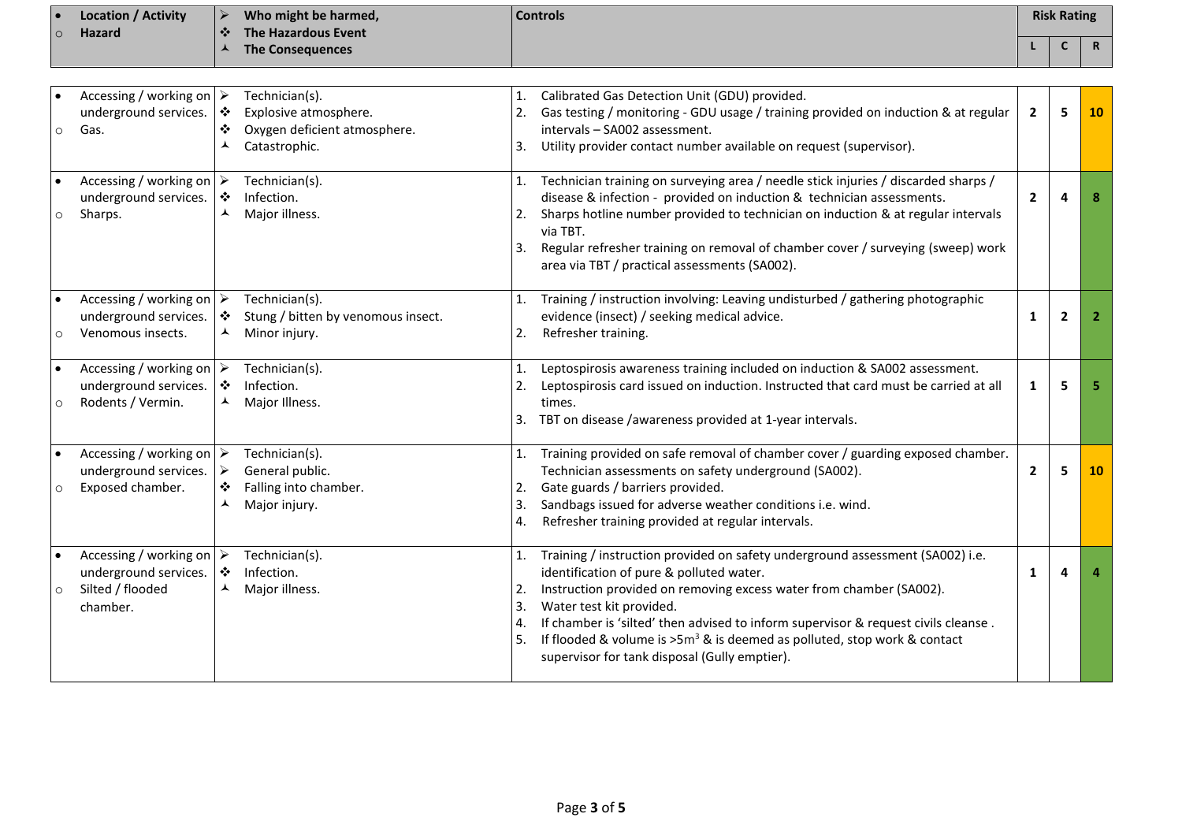|         | <b>Location / Activity</b> |                | Who might be harmed,    | <b>Controls</b> | <b>Risk Rating</b> |  |
|---------|----------------------------|----------------|-------------------------|-----------------|--------------------|--|
| $\circ$ | <b>Hazard</b>              | $\blacksquare$ | The Hazardous Event     |                 |                    |  |
|         |                            |                | <b>The Consequences</b> |                 |                    |  |

| $\circ$              | Accessing / working on $\triangleright$<br>underground services.<br>Gas.                         | $\ddot{\cdot}$<br>❖<br>⋏ | Technician(s).<br>Explosive atmosphere.<br>Oxygen deficient atmosphere.<br>Catastrophic. | 1.<br>3.                   | Calibrated Gas Detection Unit (GDU) provided.<br>Gas testing / monitoring - GDU usage / training provided on induction & at regular<br>intervals - SA002 assessment.<br>Utility provider contact number available on request (supervisor).                                                                                                                                                                                                         | $\overline{2}$ | 5              | <b>10</b> |
|----------------------|--------------------------------------------------------------------------------------------------|--------------------------|------------------------------------------------------------------------------------------|----------------------------|----------------------------------------------------------------------------------------------------------------------------------------------------------------------------------------------------------------------------------------------------------------------------------------------------------------------------------------------------------------------------------------------------------------------------------------------------|----------------|----------------|-----------|
| $\bullet$<br>$\circ$ | Accessing / working on<br>underground services.<br>Sharps.                                       | ❖<br>⋏                   | Technician(s).<br>Infection.<br>Major illness.                                           | 1.<br>2.<br>3.             | Technician training on surveying area / needle stick injuries / discarded sharps /<br>disease & infection - provided on induction & technician assessments.<br>Sharps hotline number provided to technician on induction & at regular intervals<br>via TBT.<br>Regular refresher training on removal of chamber cover / surveying (sweep) work<br>area via TBT / practical assessments (SA002).                                                    | $\mathbf{2}$   | Δ              |           |
| $\circ$              | Accessing / working on $\triangleright$<br>underground services.<br>Venomous insects.            | $\ddot{\bullet}$<br>ᄉ    | Technician(s).<br>Stung / bitten by venomous insect.<br>Minor injury.                    | 2.                         | Training / instruction involving: Leaving undisturbed / gathering photographic<br>evidence (insect) / seeking medical advice.<br>Refresher training.                                                                                                                                                                                                                                                                                               | $\mathbf{1}$   | $\overline{2}$ | -2        |
| $\circ$              | Accessing / working on $\triangleright$<br>underground services.<br>Rodents / Vermin.            | $\bullet$<br>⋏           | Technician(s).<br>Infection.<br>Major Illness.                                           | $\mathbf{1}$ .<br>2.<br>3. | Leptospirosis awareness training included on induction & SA002 assessment.<br>Leptospirosis card issued on induction. Instructed that card must be carried at all<br>times.<br>TBT on disease /awareness provided at 1-year intervals.                                                                                                                                                                                                             | $\mathbf{1}$   | 5              |           |
| $\circ$              | Accessing / working on $\triangleright$<br>underground services.<br>Exposed chamber.             | ➤<br>❖<br>▴              | Technician(s).<br>General public.<br>Falling into chamber.<br>Major injury.              | 1.<br>2.<br>3.<br>4.       | Training provided on safe removal of chamber cover / guarding exposed chamber.<br>Technician assessments on safety underground (SA002).<br>Gate guards / barriers provided.<br>Sandbags issued for adverse weather conditions i.e. wind.<br>Refresher training provided at regular intervals.                                                                                                                                                      | $\overline{2}$ | 5              | 10        |
| $\circ$              | Accessing / working on $\triangleright$<br>underground services.<br>Silted / flooded<br>chamber. | $\cdot$<br>⋏             | Technician(s).<br>Infection.<br>Major illness.                                           | 1.<br>2.<br>3.<br>4.<br>5. | Training / instruction provided on safety underground assessment (SA002) i.e.<br>identification of pure & polluted water.<br>Instruction provided on removing excess water from chamber (SA002).<br>Water test kit provided.<br>If chamber is 'silted' then advised to inform supervisor & request civils cleanse.<br>If flooded & volume is $>5m^3$ & is deemed as polluted, stop work & contact<br>supervisor for tank disposal (Gully emptier). | 1              | Δ              |           |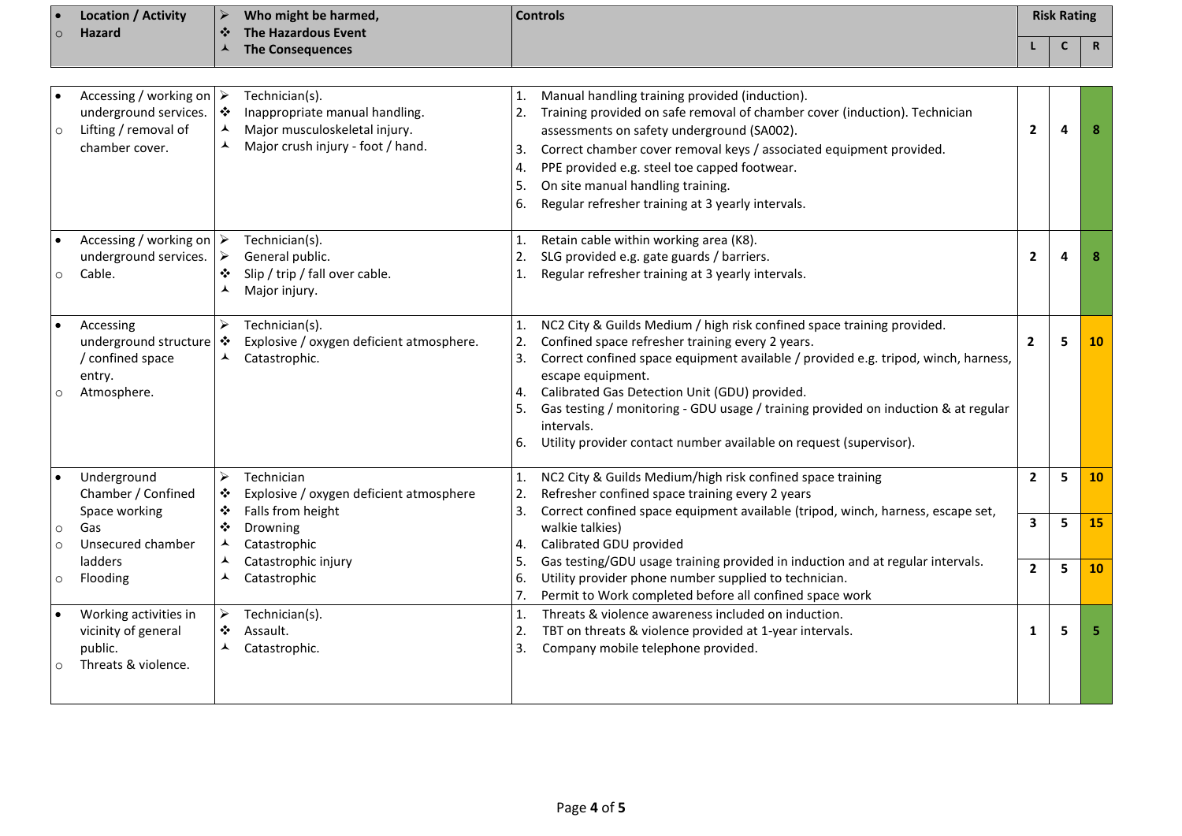|                    | <b>Location / Activity</b>                                                                                 | $\blacktriangleright$           | Who might be harmed,                                                                                                   |                                  | <b>Controls</b>                                                                                                                                                                                                                                                                                                                                                                                                                                                  |                         | <b>Risk Rating</b> |             |
|--------------------|------------------------------------------------------------------------------------------------------------|---------------------------------|------------------------------------------------------------------------------------------------------------------------|----------------------------------|------------------------------------------------------------------------------------------------------------------------------------------------------------------------------------------------------------------------------------------------------------------------------------------------------------------------------------------------------------------------------------------------------------------------------------------------------------------|-------------------------|--------------------|-------------|
| $\circ$            | <b>Hazard</b>                                                                                              | ❖<br>▲                          | <b>The Hazardous Event</b><br><b>The Consequences</b>                                                                  |                                  |                                                                                                                                                                                                                                                                                                                                                                                                                                                                  |                         | $\mathsf{C}$       | $\mathbf R$ |
|                    |                                                                                                            |                                 |                                                                                                                        |                                  |                                                                                                                                                                                                                                                                                                                                                                                                                                                                  |                         |                    |             |
|                    | Accessing / working on $\triangleright$<br>underground services.<br>Lifting / removal of<br>chamber cover. | $\ddot{\bullet}$<br>▲<br>⋏      | Technician(s).<br>Inappropriate manual handling.<br>Major musculoskeletal injury.<br>Major crush injury - foot / hand. | 1.<br>2.<br>3.<br>4.<br>5.<br>6. | Manual handling training provided (induction).<br>Training provided on safe removal of chamber cover (induction). Technician<br>assessments on safety underground (SA002).<br>Correct chamber cover removal keys / associated equipment provided.<br>PPE provided e.g. steel toe capped footwear.<br>On site manual handling training.<br>Regular refresher training at 3 yearly intervals.                                                                      | $\mathbf{2}$            | $\overline{a}$     | 8           |
| $\circ$            | Accessing / working on $\triangleright$<br>underground services.<br>Cable.                                 | ➤<br>❖<br>⋏                     | Technician(s).<br>General public.<br>Slip / trip / fall over cable.<br>Major injury.                                   | 1.<br>2.<br>$\mathbf{1}$ .       | Retain cable within working area (K8).<br>SLG provided e.g. gate guards / barriers.<br>Regular refresher training at 3 yearly intervals.                                                                                                                                                                                                                                                                                                                         | $\overline{2}$          | 4                  | 8           |
| $\circ$            | Accessing<br>underground structure $ \cdot\rangle$<br>/ confined space<br>entry.<br>Atmosphere.            | $\blacktriangleright$           | Technician(s).<br>Explosive / oxygen deficient atmosphere.<br>Catastrophic.                                            | 1.<br>2.<br>3.<br>4.<br>5.<br>6. | NC2 City & Guilds Medium / high risk confined space training provided.<br>Confined space refresher training every 2 years.<br>Correct confined space equipment available / provided e.g. tripod, winch, harness,<br>escape equipment.<br>Calibrated Gas Detection Unit (GDU) provided.<br>Gas testing / monitoring - GDU usage / training provided on induction & at regular<br>intervals.<br>Utility provider contact number available on request (supervisor). | $\overline{2}$          | 5                  | 10          |
|                    | Underground<br>Chamber / Confined<br>Space working                                                         | $\blacktriangleright$<br>❖<br>❖ | Technician<br>Explosive / oxygen deficient atmosphere<br>Falls from height                                             | 1.<br>2.<br>3.                   | NC2 City & Guilds Medium/high risk confined space training<br>Refresher confined space training every 2 years<br>Correct confined space equipment available (tripod, winch, harness, escape set,                                                                                                                                                                                                                                                                 | $\mathbf{2}$            | 5                  | 10          |
| $\circ$<br>$\circ$ | Gas<br>Unsecured chamber                                                                                   | ❖<br>▴                          | Drowning<br>Catastrophic                                                                                               | 4.                               | walkie talkies)<br>Calibrated GDU provided                                                                                                                                                                                                                                                                                                                                                                                                                       | $\overline{\mathbf{3}}$ | 5                  | 15          |
| $\circ$            | ladders<br>Flooding                                                                                        | ⋏<br>▴                          | Catastrophic injury<br>Catastrophic                                                                                    | 5.<br>6.<br>7.                   | Gas testing/GDU usage training provided in induction and at regular intervals.<br>Utility provider phone number supplied to technician.<br>Permit to Work completed before all confined space work                                                                                                                                                                                                                                                               | $\overline{2}$          | 5                  | 10          |
| $\circ$            | Working activities in<br>vicinity of general<br>public.<br>Threats & violence.                             | $\blacktriangleright$<br>❖<br>▴ | Technician(s).<br>Assault.<br>Catastrophic.                                                                            | 1.<br>2.<br>3.                   | Threats & violence awareness included on induction.<br>TBT on threats & violence provided at 1-year intervals.<br>Company mobile telephone provided.                                                                                                                                                                                                                                                                                                             | 1                       | 5                  | 5           |